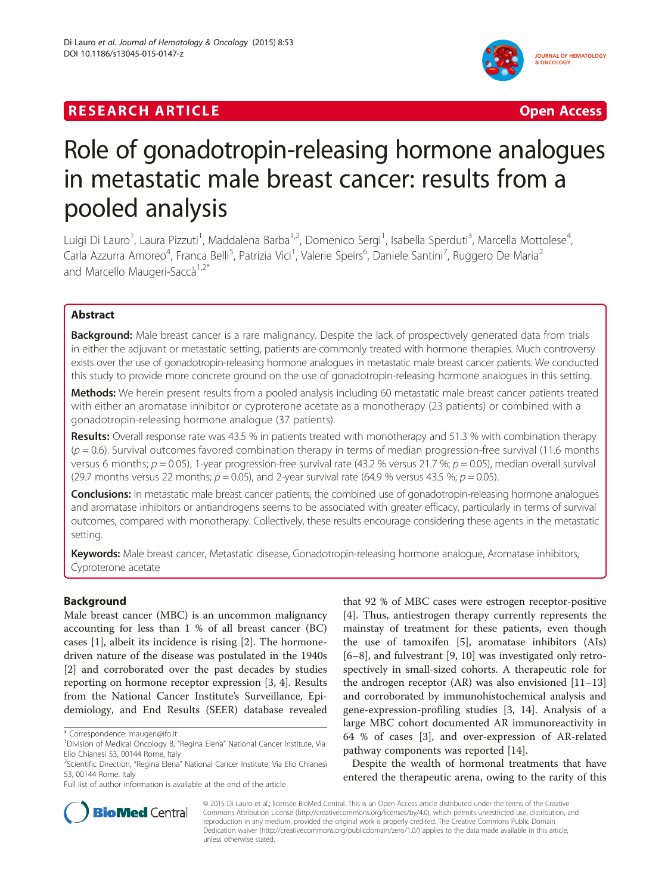# **RESEARCH ARTICLE EXECUTE: CONSIDERING A RESEARCH ARTICLE**



# Role of gonadotropin-releasing hormone analogues in metastatic male breast cancer: results from a pooled analysis

Luigi Di Lauro<sup>1</sup>, Laura Pizzuti<sup>1</sup>, Maddalena Barba<sup>1,2</sup>, Domenico Sergi<sup>1</sup>, Isabella Sperduti<sup>3</sup>, Marcella Mottolese<sup>4</sup> , Carla Azzurra Amoreo<sup>4</sup>, Franca Belli<sup>5</sup>, Patrizia Vici<sup>1</sup>, Valerie Speirs<sup>6</sup>, Daniele Santini<sup>7</sup>, Ruggero De Maria<sup>2</sup> and Marcello Maugeri-Saccà<sup>1,2\*</sup>

# Abstract

Background: Male breast cancer is a rare malignancy. Despite the lack of prospectively generated data from trials in either the adjuvant or metastatic setting, patients are commonly treated with hormone therapies. Much controversy exists over the use of gonadotropin-releasing hormone analogues in metastatic male breast cancer patients. We conducted this study to provide more concrete ground on the use of gonadotropin-releasing hormone analogues in this setting.

Methods: We herein present results from a pooled analysis including 60 metastatic male breast cancer patients treated with either an aromatase inhibitor or cyproterone acetate as a monotherapy (23 patients) or combined with a gonadotropin-releasing hormone analogue (37 patients).

Results: Overall response rate was 43.5 % in patients treated with monotherapy and 51.3 % with combination therapy  $(p = 0.6)$ . Survival outcomes favored combination therapy in terms of median progression-free survival (11.6 months versus 6 months;  $p = 0.05$ ), 1-year progression-free survival rate (43.2 % versus 21.7 %;  $p = 0.05$ ), median overall survival (29.7 months versus 22 months;  $p = 0.05$ ), and 2-year survival rate (64.9 % versus 43.5 %;  $p = 0.05$ ).

Conclusions: In metastatic male breast cancer patients, the combined use of gonadotropin-releasing hormone analogues and aromatase inhibitors or antiandrogens seems to be associated with greater efficacy, particularly in terms of survival outcomes, compared with monotherapy. Collectively, these results encourage considering these agents in the metastatic setting.

Keywords: Male breast cancer, Metastatic disease, Gonadotropin-releasing hormone analogue, Aromatase inhibitors, Cyproterone acetate

# Background

Male breast cancer (MBC) is an uncommon malignancy accounting for less than 1 % of all breast cancer (BC) cases [\[1\]](#page-4-0), albeit its incidence is rising [[2\]](#page-4-0). The hormonedriven nature of the disease was postulated in the 1940s [[2\]](#page-4-0) and corroborated over the past decades by studies reporting on hormone receptor expression [\[3, 4](#page-4-0)]. Results from the National Cancer Institute's Surveillance, Epidemiology, and End Results (SEER) database revealed

that 92 % of MBC cases were estrogen receptor-positive [[4\]](#page-4-0). Thus, antiestrogen therapy currently represents the mainstay of treatment for these patients, even though the use of tamoxifen [\[5](#page-4-0)], aromatase inhibitors (AIs) [[6](#page-4-0)–[8\]](#page-4-0), and fulvestrant [\[9](#page-4-0), [10](#page-4-0)] was investigated only retrospectively in small-sized cohorts. A therapeutic role for the androgen receptor (AR) was also envisioned [[11](#page-4-0)–[13](#page-4-0)] and corroborated by immunohistochemical analysis and gene-expression-profiling studies [\[3, 14\]](#page-4-0). Analysis of a large MBC cohort documented AR immunoreactivity in 64 % of cases [\[3](#page-4-0)], and over-expression of AR-related pathway components was reported [[14\]](#page-4-0).

Despite the wealth of hormonal treatments that have entered the therapeutic arena, owing to the rarity of this



© 2015 Di Lauro et al.; licensee BioMed Central. This is an Open Access article distributed under the terms of the Creative Commons Attribution License [\(http://creativecommons.org/licenses/by/4.0\)](http://creativecommons.org/licenses/by/4.0), which permits unrestricted use, distribution, and reproduction in any medium, provided the original work is properly credited. The Creative Commons Public Domain Dedication waiver [\(http://creativecommons.org/publicdomain/zero/1.0/](http://creativecommons.org/publicdomain/zero/1.0/)) applies to the data made available in this article, unless otherwise stated.

<sup>\*</sup> Correspondence: [maugeri@ifo.it](mailto:maugeri@ifo.it) <sup>1</sup>

<sup>&</sup>lt;sup>1</sup> Division of Medical Oncology B, "Regina Elena" National Cancer Institute, Via Elio Chianesi 53, 00144 Rome, Italy

<sup>&</sup>lt;sup>2</sup>Scientific Direction, "Regina Elena" National Cancer Institute, Via Elio Chianesi 53, 00144 Rome, Italy

Full list of author information is available at the end of the article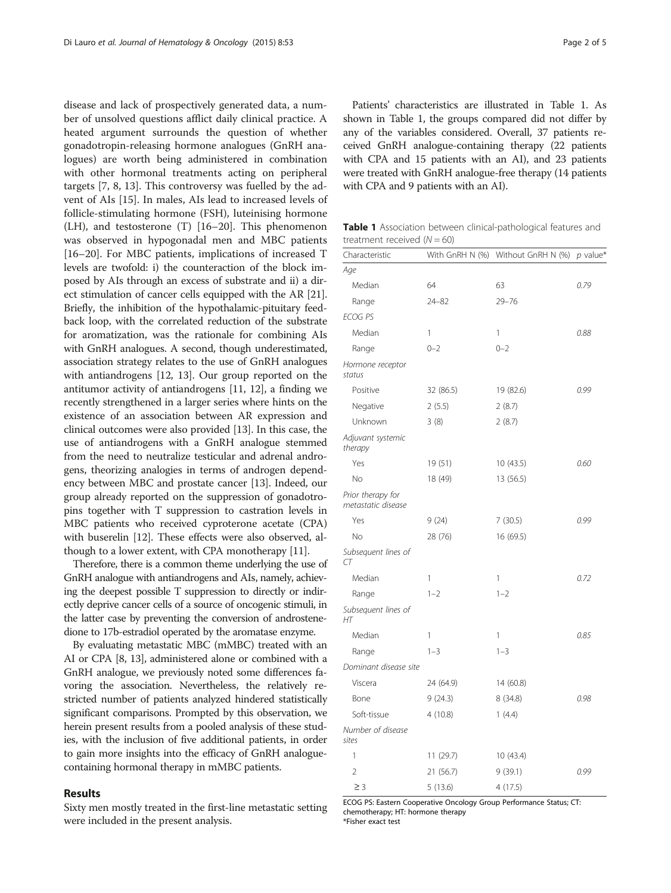disease and lack of prospectively generated data, a number of unsolved questions afflict daily clinical practice. A heated argument surrounds the question of whether gonadotropin-releasing hormone analogues (GnRH analogues) are worth being administered in combination with other hormonal treatments acting on peripheral targets [\[7](#page-4-0), [8](#page-4-0), [13](#page-4-0)]. This controversy was fuelled by the advent of AIs [[15](#page-4-0)]. In males, AIs lead to increased levels of follicle-stimulating hormone (FSH), luteinising hormone (LH), and testosterone (T) [\[16](#page-4-0)–[20\]](#page-4-0). This phenomenon was observed in hypogonadal men and MBC patients [[16](#page-4-0)–[20](#page-4-0)]. For MBC patients, implications of increased T levels are twofold: i) the counteraction of the block imposed by AIs through an excess of substrate and ii) a direct stimulation of cancer cells equipped with the AR [[21](#page-4-0)]. Briefly, the inhibition of the hypothalamic-pituitary feedback loop, with the correlated reduction of the substrate for aromatization, was the rationale for combining AIs with GnRH analogues. A second, though underestimated, association strategy relates to the use of GnRH analogues with antiandrogens [\[12, 13\]](#page-4-0). Our group reported on the antitumor activity of antiandrogens [[11](#page-4-0), [12](#page-4-0)], a finding we recently strengthened in a larger series where hints on the existence of an association between AR expression and clinical outcomes were also provided [\[13\]](#page-4-0). In this case, the use of antiandrogens with a GnRH analogue stemmed from the need to neutralize testicular and adrenal androgens, theorizing analogies in terms of androgen dependency between MBC and prostate cancer [[13](#page-4-0)]. Indeed, our group already reported on the suppression of gonadotropins together with T suppression to castration levels in MBC patients who received cyproterone acetate (CPA) with buserelin [\[12\]](#page-4-0). These effects were also observed, although to a lower extent, with CPA monotherapy [\[11\]](#page-4-0).

Therefore, there is a common theme underlying the use of GnRH analogue with antiandrogens and AIs, namely, achieving the deepest possible T suppression to directly or indirectly deprive cancer cells of a source of oncogenic stimuli, in the latter case by preventing the conversion of androstenedione to 17b-estradiol operated by the aromatase enzyme.

By evaluating metastatic MBC (mMBC) treated with an AI or CPA [[8](#page-4-0), [13](#page-4-0)], administered alone or combined with a GnRH analogue, we previously noted some differences favoring the association. Nevertheless, the relatively restricted number of patients analyzed hindered statistically significant comparisons. Prompted by this observation, we herein present results from a pooled analysis of these studies, with the inclusion of five additional patients, in order to gain more insights into the efficacy of GnRH analoguecontaining hormonal therapy in mMBC patients.

#### Results

Sixty men mostly treated in the first-line metastatic setting were included in the present analysis.

Patients' characteristics are illustrated in Table 1. As shown in Table 1, the groups compared did not differ by any of the variables considered. Overall, 37 patients received GnRH analogue-containing therapy (22 patients with CPA and 15 patients with an AI), and 23 patients were treated with GnRH analogue-free therapy (14 patients with CPA and 9 patients with an AI).

Table 1 Association between clinical-pathological features and treatment received  $(N = 60)$ 

| Characteristic                          |           | With GnRH N (%) Without GnRH N (%) | $p$ value* |
|-----------------------------------------|-----------|------------------------------------|------------|
| Age                                     |           |                                    |            |
| Median                                  | 64        | 63                                 | 0.79       |
| Range                                   | $24 - 82$ | $29 - 76$                          |            |
| <b>ECOG PS</b>                          |           |                                    |            |
| Median                                  | 1         | 1                                  | 0.88       |
| Range                                   | $0 - 2$   | $0 - 2$                            |            |
| Hormone receptor<br>status              |           |                                    |            |
| Positive                                | 32 (86.5) | 19 (82.6)                          | 0.99       |
| Negative                                | 2(5.5)    | 2(8.7)                             |            |
| Unknown                                 | 3(8)      | 2(8.7)                             |            |
| Adjuvant systemic<br>therapy            |           |                                    |            |
| Yes                                     | 19 (51)   | 10(43.5)                           | 0.60       |
| No                                      | 18 (49)   | 13 (56.5)                          |            |
| Prior therapy for<br>metastatic disease |           |                                    |            |
| Yes                                     | 9(24)     | 7(30.5)                            | 0.99       |
| No                                      | 28 (76)   | 16 (69.5)                          |            |
| Subsequent lines of<br>CT               |           |                                    |            |
| Median                                  | 1         | 1                                  | 0.72       |
| Range                                   | $1 - 2$   | $1 - 2$                            |            |
| Subsequent lines of<br>НT               |           |                                    |            |
| Median                                  | 1         | 1                                  | 0.85       |
| Range                                   | $1 - 3$   | $1 - 3$                            |            |
| Dominant disease site                   |           |                                    |            |
| Viscera                                 | 24 (64.9) | 14 (60.8)                          |            |
| Bone                                    | 9(24.3)   | 8(34.8)                            | 0.98       |
| Soft-tissue                             | 4 (10.8)  | 1(4.4)                             |            |
| Number of disease<br>sites              |           |                                    |            |
| 1                                       | 11(29.7)  | 10 (43.4)                          |            |
| $\overline{2}$                          | 21 (56.7) | 9(39.1)                            | 0.99       |
| $\geq$ 3                                | 5(13.6)   | 4(17.5)                            |            |

ECOG PS: Eastern Cooperative Oncology Group Performance Status; CT: chemotherapy; HT: hormone therapy

\*Fisher exact test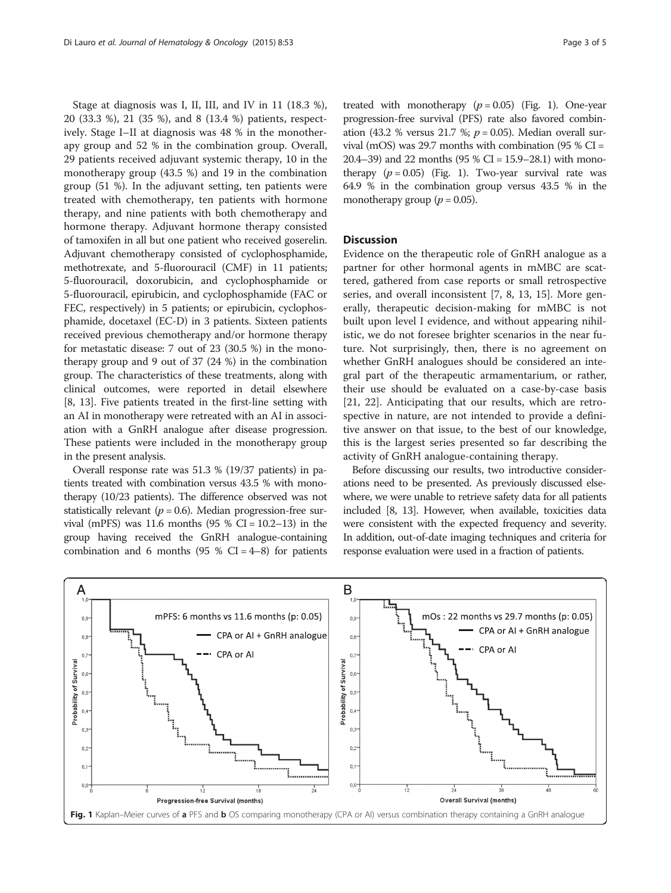Stage at diagnosis was I, II, III, and IV in 11 (18.3 %), 20 (33.3 %), 21 (35 %), and 8 (13.4 %) patients, respectively. Stage I–II at diagnosis was 48 % in the monotherapy group and 52 % in the combination group. Overall, 29 patients received adjuvant systemic therapy, 10 in the monotherapy group (43.5 %) and 19 in the combination group (51 %). In the adjuvant setting, ten patients were treated with chemotherapy, ten patients with hormone therapy, and nine patients with both chemotherapy and hormone therapy. Adjuvant hormone therapy consisted of tamoxifen in all but one patient who received goserelin. Adjuvant chemotherapy consisted of cyclophosphamide, methotrexate, and 5-fluorouracil (CMF) in 11 patients; 5-fluorouracil, doxorubicin, and cyclophosphamide or 5-fluorouracil, epirubicin, and cyclophosphamide (FAC or FEC, respectively) in 5 patients; or epirubicin, cyclophosphamide, docetaxel (EC-D) in 3 patients. Sixteen patients received previous chemotherapy and/or hormone therapy for metastatic disease: 7 out of 23 (30.5 %) in the monotherapy group and 9 out of 37 (24 %) in the combination group. The characteristics of these treatments, along with clinical outcomes, were reported in detail elsewhere [[8, 13](#page-4-0)]. Five patients treated in the first-line setting with an AI in monotherapy were retreated with an AI in association with a GnRH analogue after disease progression. These patients were included in the monotherapy group in the present analysis.

Overall response rate was 51.3 % (19/37 patients) in patients treated with combination versus 43.5 % with monotherapy (10/23 patients). The difference observed was not statistically relevant ( $p = 0.6$ ). Median progression-free survival (mPFS) was 11.6 months  $(95 % CI = 10.2-13)$  in the group having received the GnRH analogue-containing combination and 6 months (95 %  $CI = 4-8$ ) for patients

treated with monotherapy  $(p = 0.05)$  (Fig. 1). One-year progression-free survival (PFS) rate also favored combination (43.2 % versus 21.7 %;  $p = 0.05$ ). Median overall survival (mOS) was 29.7 months with combination (95 %  $CI =$ 20.4–39) and 22 months (95 % CI =  $15.9-28.1$ ) with monotherapy  $(p = 0.05)$  (Fig. 1). Two-year survival rate was 64.9 % in the combination group versus 43.5 % in the monotherapy group ( $p = 0.05$ ).

#### **Discussion**

Evidence on the therapeutic role of GnRH analogue as a partner for other hormonal agents in mMBC are scattered, gathered from case reports or small retrospective series, and overall inconsistent [[7, 8](#page-4-0), [13, 15\]](#page-4-0). More generally, therapeutic decision-making for mMBC is not built upon level I evidence, and without appearing nihilistic, we do not foresee brighter scenarios in the near future. Not surprisingly, then, there is no agreement on whether GnRH analogues should be considered an integral part of the therapeutic armamentarium, or rather, their use should be evaluated on a case-by-case basis [[21, 22\]](#page-4-0). Anticipating that our results, which are retrospective in nature, are not intended to provide a definitive answer on that issue, to the best of our knowledge, this is the largest series presented so far describing the activity of GnRH analogue-containing therapy.

Before discussing our results, two introductive considerations need to be presented. As previously discussed elsewhere, we were unable to retrieve safety data for all patients included [\[8, 13\]](#page-4-0). However, when available, toxicities data were consistent with the expected frequency and severity. In addition, out-of-date imaging techniques and criteria for response evaluation were used in a fraction of patients.

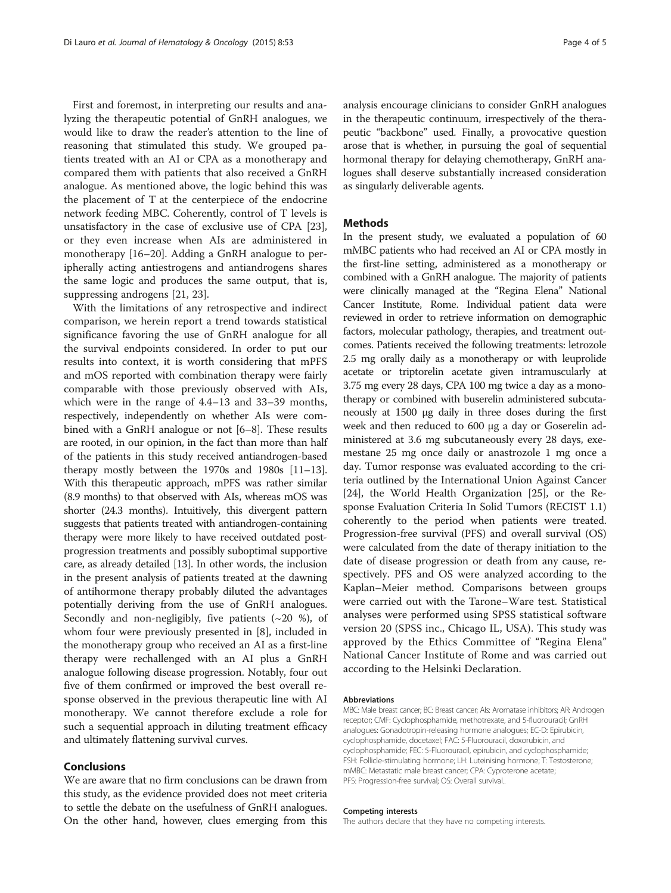First and foremost, in interpreting our results and analyzing the therapeutic potential of GnRH analogues, we would like to draw the reader's attention to the line of reasoning that stimulated this study. We grouped patients treated with an AI or CPA as a monotherapy and compared them with patients that also received a GnRH analogue. As mentioned above, the logic behind this was the placement of T at the centerpiece of the endocrine network feeding MBC. Coherently, control of T levels is unsatisfactory in the case of exclusive use of CPA [\[23](#page-4-0)], or they even increase when AIs are administered in monotherapy [[16](#page-4-0)–[20](#page-4-0)]. Adding a GnRH analogue to peripherally acting antiestrogens and antiandrogens shares the same logic and produces the same output, that is, suppressing androgens [[21, 23](#page-4-0)].

With the limitations of any retrospective and indirect comparison, we herein report a trend towards statistical significance favoring the use of GnRH analogue for all the survival endpoints considered. In order to put our results into context, it is worth considering that mPFS and mOS reported with combination therapy were fairly comparable with those previously observed with AIs, which were in the range of 4.4–13 and 33–39 months, respectively, independently on whether AIs were combined with a GnRH analogue or not [[6](#page-4-0)–[8](#page-4-0)]. These results are rooted, in our opinion, in the fact than more than half of the patients in this study received antiandrogen-based therapy mostly between the 1970s and 1980s [\[11](#page-4-0)–[13](#page-4-0)]. With this therapeutic approach, mPFS was rather similar (8.9 months) to that observed with AIs, whereas mOS was shorter (24.3 months). Intuitively, this divergent pattern suggests that patients treated with antiandrogen-containing therapy were more likely to have received outdated postprogression treatments and possibly suboptimal supportive care, as already detailed [\[13](#page-4-0)]. In other words, the inclusion in the present analysis of patients treated at the dawning of antihormone therapy probably diluted the advantages potentially deriving from the use of GnRH analogues. Secondly and non-negligibly, five patients  $({\sim}20$  %), of whom four were previously presented in [[8\]](#page-4-0), included in the monotherapy group who received an AI as a first-line therapy were rechallenged with an AI plus a GnRH analogue following disease progression. Notably, four out five of them confirmed or improved the best overall response observed in the previous therapeutic line with AI monotherapy. We cannot therefore exclude a role for such a sequential approach in diluting treatment efficacy and ultimately flattening survival curves.

### Conclusions

We are aware that no firm conclusions can be drawn from this study, as the evidence provided does not meet criteria to settle the debate on the usefulness of GnRH analogues. On the other hand, however, clues emerging from this

analysis encourage clinicians to consider GnRH analogues in the therapeutic continuum, irrespectively of the therapeutic "backbone" used. Finally, a provocative question arose that is whether, in pursuing the goal of sequential hormonal therapy for delaying chemotherapy, GnRH analogues shall deserve substantially increased consideration as singularly deliverable agents.

#### **Methods**

In the present study, we evaluated a population of 60 mMBC patients who had received an AI or CPA mostly in the first-line setting, administered as a monotherapy or combined with a GnRH analogue. The majority of patients were clinically managed at the "Regina Elena" National Cancer Institute, Rome. Individual patient data were reviewed in order to retrieve information on demographic factors, molecular pathology, therapies, and treatment outcomes. Patients received the following treatments: letrozole 2.5 mg orally daily as a monotherapy or with leuprolide acetate or triptorelin acetate given intramuscularly at 3.75 mg every 28 days, CPA 100 mg twice a day as a monotherapy or combined with buserelin administered subcutaneously at 1500 μg daily in three doses during the first week and then reduced to 600 μg a day or Goserelin administered at 3.6 mg subcutaneously every 28 days, exemestane 25 mg once daily or anastrozole 1 mg once a day. Tumor response was evaluated according to the criteria outlined by the International Union Against Cancer [[24\]](#page-4-0), the World Health Organization [\[25\]](#page-4-0), or the Response Evaluation Criteria In Solid Tumors (RECIST 1.1) coherently to the period when patients were treated. Progression-free survival (PFS) and overall survival (OS) were calculated from the date of therapy initiation to the date of disease progression or death from any cause, respectively. PFS and OS were analyzed according to the Kaplan–Meier method. Comparisons between groups were carried out with the Tarone–Ware test. Statistical analyses were performed using SPSS statistical software version 20 (SPSS inc., Chicago IL, USA). This study was approved by the Ethics Committee of "Regina Elena" National Cancer Institute of Rome and was carried out according to the Helsinki Declaration.

#### Abbreviations

MBC: Male breast cancer; BC: Breast cancer; AIs: Aromatase inhibitors; AR: Androgen receptor; CMF: Cyclophosphamide, methotrexate, and 5-fluorouracil; GnRH analogues: Gonadotropin-releasing hormone analogues; EC-D: Epirubicin, cyclophosphamide, docetaxel; FAC: 5-Fluorouracil, doxorubicin, and cyclophosphamide; FEC: 5-Fluorouracil, epirubicin, and cyclophosphamide; FSH: Follicle-stimulating hormone; LH: Luteinising hormone; T: Testosterone; mMBC: Metastatic male breast cancer; CPA: Cyproterone acetate; PFS: Progression-free survival; OS: Overall survival..

#### Competing interests

The authors declare that they have no competing interests.